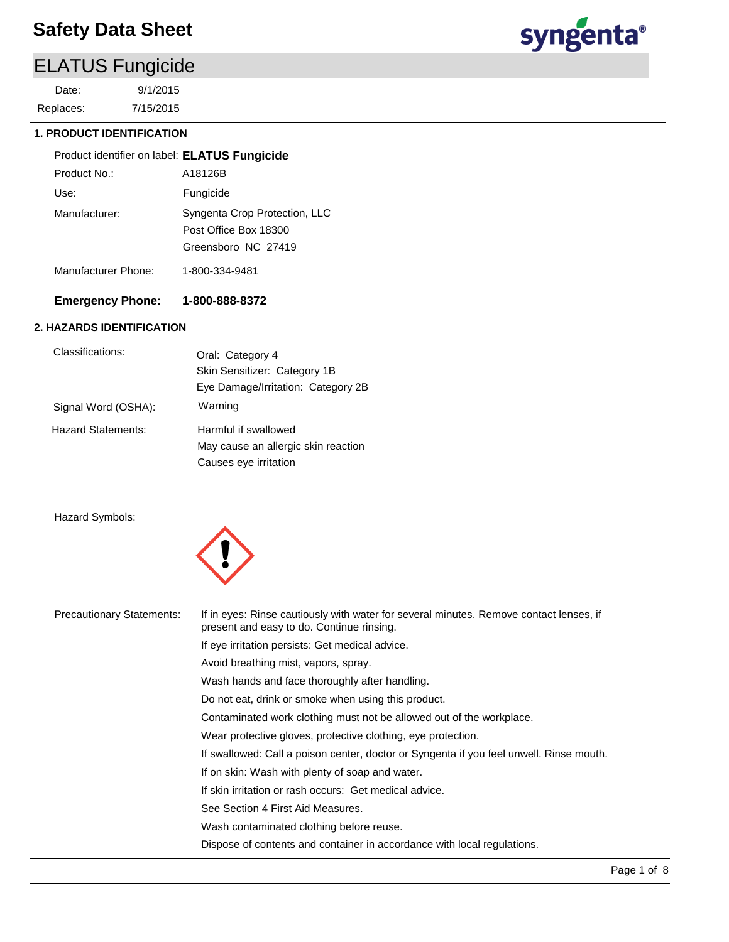## ELATUS Fungicide

7/15/2015 9/1/2015 Replaces: Date:



### **1. PRODUCT IDENTIFICATION**

| Product identifier on label: ELATUS Fungicide |                               |
|-----------------------------------------------|-------------------------------|
| Product No.:                                  | A18126B                       |
| Use:                                          | Fungicide                     |
| Manufacturer:                                 | Syngenta Crop Protection, LLC |
|                                               | Post Office Box 18300         |
|                                               | Greensboro NC 27419           |
| Manufacturer Phone:                           | 1-800-334-9481                |

### **Emergency Phone: 1-800-888-8372**

### **2. HAZARDS IDENTIFICATION**

| Classifications:          | Oral: Category 4<br>Skin Sensitizer: Category 1B<br>Eye Damage/Irritation: Category 2B |
|---------------------------|----------------------------------------------------------------------------------------|
| Signal Word (OSHA):       | Warning                                                                                |
| <b>Hazard Statements:</b> | Harmful if swallowed<br>May cause an allergic skin reaction<br>Causes eye irritation   |

Hazard Symbols:



| <b>Precautionary Statements:</b> | If in eyes: Rinse cautiously with water for several minutes. Remove contact lenses, if<br>present and easy to do. Continue rinsing. |
|----------------------------------|-------------------------------------------------------------------------------------------------------------------------------------|
|                                  | If eye irritation persists: Get medical advice.                                                                                     |
|                                  | Avoid breathing mist, vapors, spray.                                                                                                |
|                                  | Wash hands and face thoroughly after handling.                                                                                      |
|                                  | Do not eat, drink or smoke when using this product.                                                                                 |
|                                  | Contaminated work clothing must not be allowed out of the workplace.                                                                |
|                                  | Wear protective gloves, protective clothing, eye protection.                                                                        |
|                                  | If swallowed: Call a poison center, doctor or Syngenta if you feel unwell. Rinse mouth.                                             |
|                                  | If on skin: Wash with plenty of soap and water.                                                                                     |
|                                  | If skin irritation or rash occurs: Get medical advice.                                                                              |
|                                  | See Section 4 First Aid Measures.                                                                                                   |
|                                  | Wash contaminated clothing before reuse.                                                                                            |
|                                  | Dispose of contents and container in accordance with local regulations.                                                             |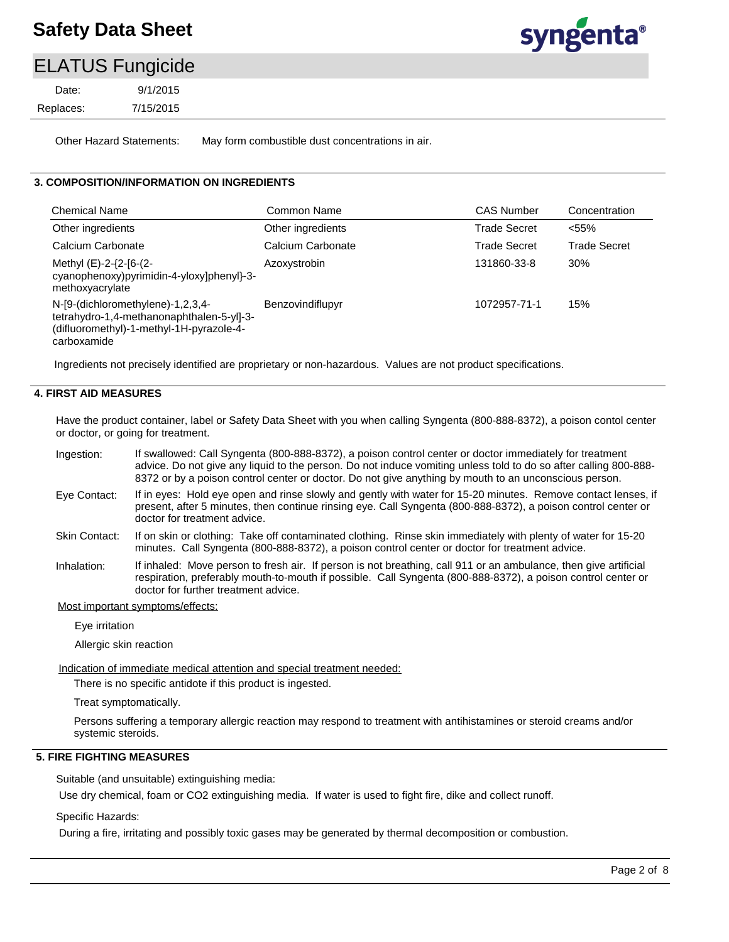

### ELATUS Fungicide

7/15/2015 9/1/2015 Replaces: Date:

Other Hazard Statements: May form combustible dust concentrations in air.

### **3. COMPOSITION/INFORMATION ON INGREDIENTS**

| Chemical Name                                                                                                                             | Common Name       | <b>CAS Number</b>   | Concentration       |
|-------------------------------------------------------------------------------------------------------------------------------------------|-------------------|---------------------|---------------------|
| Other ingredients                                                                                                                         | Other ingredients | <b>Trade Secret</b> | $< 55\%$            |
| Calcium Carbonate                                                                                                                         | Calcium Carbonate | Trade Secret        | <b>Trade Secret</b> |
| Methyl (E)-2-{2-[6-(2-<br>cyanophenoxy)pyrimidin-4-yloxy]phenyl}-3-<br>methoxyacrylate                                                    | Azoxystrobin      | 131860-33-8         | 30%                 |
| N-[9-(dichloromethylene)-1,2,3,4-<br>tetrahydro-1,4-methanonaphthalen-5-yl]-3-<br>(difluoromethyl)-1-methyl-1H-pyrazole-4-<br>carboxamide | Benzovindiflupyr  | 1072957-71-1        | 15%                 |

Ingredients not precisely identified are proprietary or non-hazardous. Values are not product specifications.

#### **4. FIRST AID MEASURES**

Have the product container, label or Safety Data Sheet with you when calling Syngenta (800-888-8372), a poison contol center or doctor, or going for treatment.

If swallowed: Call Syngenta (800-888-8372), a poison control center or doctor immediately for treatment advice. Do not give any liquid to the person. Do not induce vomiting unless told to do so after calling 800-888- 8372 or by a poison control center or doctor. Do not give anything by mouth to an unconscious person. Ingestion:

- If in eyes: Hold eye open and rinse slowly and gently with water for 15-20 minutes. Remove contact lenses, if present, after 5 minutes, then continue rinsing eye. Call Syngenta (800-888-8372), a poison control center or doctor for treatment advice. Eye Contact:
- If on skin or clothing: Take off contaminated clothing. Rinse skin immediately with plenty of water for 15-20 minutes. Call Syngenta (800-888-8372), a poison control center or doctor for treatment advice. Skin Contact:
- If inhaled: Move person to fresh air. If person is not breathing, call 911 or an ambulance, then give artificial respiration, preferably mouth-to-mouth if possible. Call Syngenta (800-888-8372), a poison control center or doctor for further treatment advice. Inhalation:

#### Most important symptoms/effects:

Eye irritation

Allergic skin reaction

Indication of immediate medical attention and special treatment needed:

There is no specific antidote if this product is ingested.

Treat symptomatically.

Persons suffering a temporary allergic reaction may respond to treatment with antihistamines or steroid creams and/or systemic steroids.

### **5. FIRE FIGHTING MEASURES**

Suitable (and unsuitable) extinguishing media:

Use dry chemical, foam or CO2 extinguishing media. If water is used to fight fire, dike and collect runoff.

Specific Hazards:

During a fire, irritating and possibly toxic gases may be generated by thermal decomposition or combustion.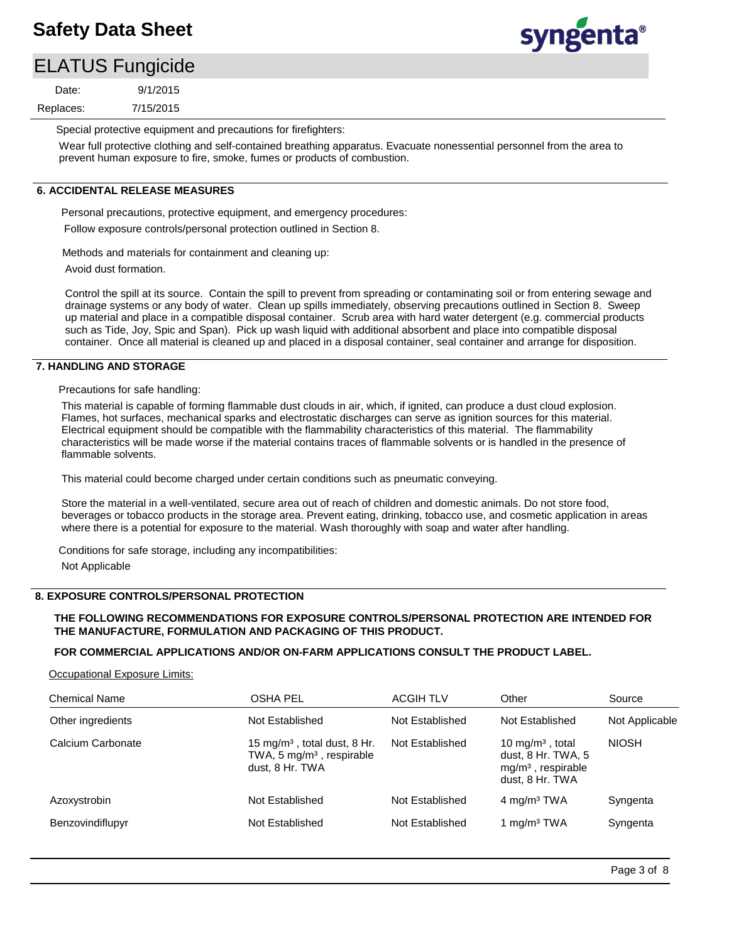# syngenta®

### ELATUS Fungicide

7/15/2015 9/1/2015 Replaces: Date:

Special protective equipment and precautions for firefighters:

Wear full protective clothing and self-contained breathing apparatus. Evacuate nonessential personnel from the area to prevent human exposure to fire, smoke, fumes or products of combustion.

### **6. ACCIDENTAL RELEASE MEASURES**

Personal precautions, protective equipment, and emergency procedures: Follow exposure controls/personal protection outlined in Section 8.

Methods and materials for containment and cleaning up:

Avoid dust formation.

Control the spill at its source. Contain the spill to prevent from spreading or contaminating soil or from entering sewage and drainage systems or any body of water. Clean up spills immediately, observing precautions outlined in Section 8. Sweep up material and place in a compatible disposal container. Scrub area with hard water detergent (e.g. commercial products such as Tide, Joy, Spic and Span). Pick up wash liquid with additional absorbent and place into compatible disposal container. Once all material is cleaned up and placed in a disposal container, seal container and arrange for disposition.

#### **7. HANDLING AND STORAGE**

Precautions for safe handling:

This material is capable of forming flammable dust clouds in air, which, if ignited, can produce a dust cloud explosion. Flames, hot surfaces, mechanical sparks and electrostatic discharges can serve as ignition sources for this material. Electrical equipment should be compatible with the flammability characteristics of this material. The flammability characteristics will be made worse if the material contains traces of flammable solvents or is handled in the presence of flammable solvents.

This material could become charged under certain conditions such as pneumatic conveying.

Store the material in a well-ventilated, secure area out of reach of children and domestic animals. Do not store food, beverages or tobacco products in the storage area. Prevent eating, drinking, tobacco use, and cosmetic application in areas where there is a potential for exposure to the material. Wash thoroughly with soap and water after handling.

Conditions for safe storage, including any incompatibilities: Not Applicable

#### **8. EXPOSURE CONTROLS/PERSONAL PROTECTION**

### **THE FOLLOWING RECOMMENDATIONS FOR EXPOSURE CONTROLS/PERSONAL PROTECTION ARE INTENDED FOR THE MANUFACTURE, FORMULATION AND PACKAGING OF THIS PRODUCT.**

#### **FOR COMMERCIAL APPLICATIONS AND/OR ON-FARM APPLICATIONS CONSULT THE PRODUCT LABEL.**

Occupational Exposure Limits:

| <b>Chemical Name</b> | <b>OSHA PEL</b>                                                                                        | <b>ACGIH TLV</b> | Other                                                                                         | Source         |
|----------------------|--------------------------------------------------------------------------------------------------------|------------------|-----------------------------------------------------------------------------------------------|----------------|
| Other ingredients    | Not Established                                                                                        | Not Established  | Not Established                                                                               | Not Applicable |
| Calcium Carbonate    | 15 mg/m <sup>3</sup> , total dust, $8$ Hr.<br>TWA, 5 mg/m <sup>3</sup> , respirable<br>dust, 8 Hr. TWA | Not Established  | 10 mg/m <sup>3</sup> , total<br>dust, 8 Hr. TWA, 5<br>$mg/m3$ , respirable<br>dust, 8 Hr. TWA | <b>NIOSH</b>   |
| Azoxystrobin         | Not Established                                                                                        | Not Established  | 4 mg/m <sup>3</sup> TWA                                                                       | Syngenta       |
| Benzovindiflupyr     | Not Established                                                                                        | Not Established  | 1 mg/m <sup>3</sup> TWA                                                                       | Syngenta       |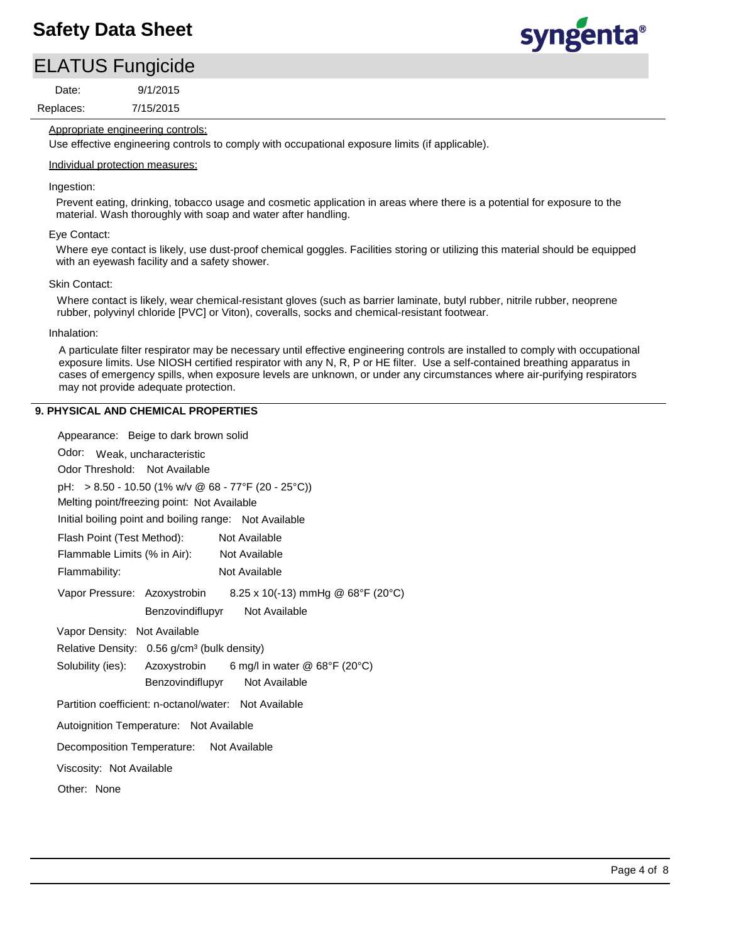# syngenta®

### ELATUS Fungicide

Replaces: Date:

7/15/2015 9/1/2015

### Appropriate engineering controls:

Use effective engineering controls to comply with occupational exposure limits (if applicable).

### Individual protection measures:

### Ingestion:

Prevent eating, drinking, tobacco usage and cosmetic application in areas where there is a potential for exposure to the material. Wash thoroughly with soap and water after handling.

### Eye Contact:

Where eye contact is likely, use dust-proof chemical goggles. Facilities storing or utilizing this material should be equipped with an eyewash facility and a safety shower.

### Skin Contact:

Where contact is likely, wear chemical-resistant gloves (such as barrier laminate, butyl rubber, nitrile rubber, neoprene rubber, polyvinyl chloride [PVC] or Viton), coveralls, socks and chemical-resistant footwear.

### Inhalation:

A particulate filter respirator may be necessary until effective engineering controls are installed to comply with occupational exposure limits. Use NIOSH certified respirator with any N, R, P or HE filter. Use a self-contained breathing apparatus in cases of emergency spills, when exposure levels are unknown, or under any circumstances where air-purifying respirators may not provide adequate protection.

### **9. PHYSICAL AND CHEMICAL PROPERTIES**

| Appearance: Beige to dark brown solid                             |
|-------------------------------------------------------------------|
| Odor:<br>Weak, uncharacteristic                                   |
| Odor Threshold: Not Available                                     |
| pH: > 8.50 - 10.50 (1% w/v @ 68 - 77°F (20 - 25°C))               |
| Melting point/freezing point: Not Available                       |
| Initial boiling point and boiling range: Not Available            |
| Flash Point (Test Method):<br>Not Available                       |
| Flammable Limits (% in Air): Not Available                        |
| Flammability:<br>Not Available                                    |
| Vapor Pressure: Azoxystrobin 8.25 x 10(-13) mmHg @ 68°F (20°C)    |
| Benzovindiflupyr Not Available                                    |
| Vapor Density: Not Available                                      |
| Relative Density: 0.56 g/cm <sup>3</sup> (bulk density)           |
| Solubility (ies): Azoxystrobin<br>6 mg/l in water $@$ 68°F (20°C) |
| Benzovindiflupyr Not Available                                    |
| Partition coefficient: n-octanol/water: Not Available             |
| Autoignition Temperature: Not Available                           |
| Decomposition Temperature: Not Available                          |
| Viscosity: Not Available                                          |
| Other: None                                                       |
|                                                                   |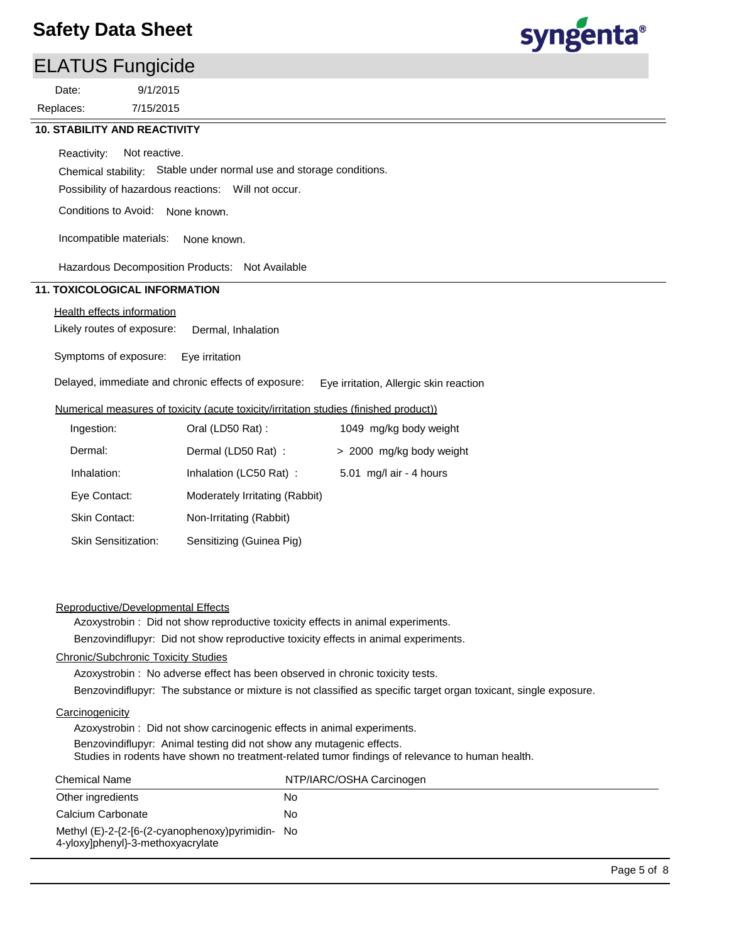### ELATUS Fungicide

7/15/2015 9/1/2015 Replaces: Date:



### **10. STABILITY AND REACTIVITY**

Reactivity: Not reactive.

Chemical stability: Stable under normal use and storage conditions.

Possibility of hazardous reactions: Will not occur.

Conditions to Avoid: None known.

Incompatible materials: None known.

Hazardous Decomposition Products: Not Available

### **11. TOXICOLOGICAL INFORMATION**

### Health effects information

Likely routes of exposure: Dermal, Inhalation

Symptoms of exposure: Eye irritation

Delayed, immediate and chronic effects of exposure: Eye irritation, Allergic skin reaction

### Numerical measures of toxicity (acute toxicity/irritation studies (finished product))

| Ingestion:                 | Oral (LD50 Rat):               | 1049 mg/kg body weight   |
|----------------------------|--------------------------------|--------------------------|
| Dermal:                    | Dermal (LD50 Rat) :            | > 2000 mg/kg body weight |
| Inhalation:                | Inhalation (LC50 Rat):         | 5.01 mg/l air - 4 hours  |
| Eye Contact:               | Moderately Irritating (Rabbit) |                          |
| <b>Skin Contact:</b>       | Non-Irritating (Rabbit)        |                          |
| <b>Skin Sensitization:</b> | Sensitizing (Guinea Pig)       |                          |

#### Reproductive/Developmental Effects

Azoxystrobin : Did not show reproductive toxicity effects in animal experiments.

Benzovindiflupyr: Did not show reproductive toxicity effects in animal experiments.

### Chronic/Subchronic Toxicity Studies

Azoxystrobin : No adverse effect has been observed in chronic toxicity tests.

Benzovindiflupyr: The substance or mixture is not classified as specific target organ toxicant, single exposure.

#### **Carcinogenicity**

Azoxystrobin : Did not show carcinogenic effects in animal experiments. Benzovindiflupyr: Animal testing did not show any mutagenic effects. Studies in rodents have shown no treatment-related tumor findings of relevance to human health.

| <b>Chemical Name</b>                                                                  | NTP/IARC/OSHA Carcinogen |
|---------------------------------------------------------------------------------------|--------------------------|
| Other ingredients                                                                     | No.                      |
| Calcium Carbonate                                                                     | No                       |
| Methyl (E)-2-{2-[6-(2-cyanophenoxy)pyrimidin- No<br>4-yloxy]phenyl}-3-methoxyacrylate |                          |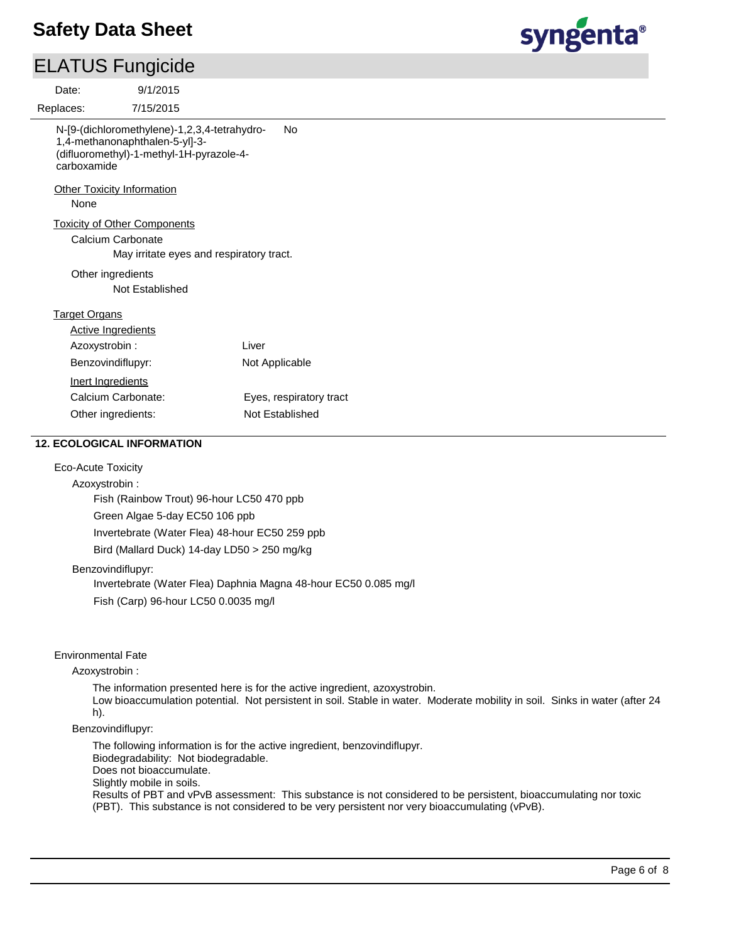# syngenta®

| <b>ELATUS Fungicide</b>                                                                                                                   |                                          |
|-------------------------------------------------------------------------------------------------------------------------------------------|------------------------------------------|
| 9/1/2015<br>Date:                                                                                                                         |                                          |
| Replaces:<br>7/15/2015                                                                                                                    |                                          |
| N-[9-(dichloromethylene)-1,2,3,4-tetrahydro-<br>1,4-methanonaphthalen-5-yl]-3-<br>(difluoromethyl)-1-methyl-1H-pyrazole-4-<br>carboxamide | <b>No</b>                                |
| <b>Other Toxicity Information</b><br>None                                                                                                 |                                          |
| <b>Toxicity of Other Components</b><br>Calcium Carbonate                                                                                  | May irritate eyes and respiratory tract. |
| Other ingredients<br>Not Established                                                                                                      |                                          |
| <b>Target Organs</b>                                                                                                                      |                                          |
| <b>Active Ingredients</b>                                                                                                                 |                                          |
| Azoxystrobin:                                                                                                                             | Liver                                    |
| Benzovindiflupyr:                                                                                                                         | Not Applicable                           |
| Inert Ingredients                                                                                                                         |                                          |
| Calcium Carbonate:                                                                                                                        | Eyes, respiratory tract                  |
| Other ingredients:                                                                                                                        | Not Established                          |
| <b>12. ECOLOGICAL INFORMATION</b><br><b>Eco-Acute Toxicity</b>                                                                            |                                          |

Azoxystrobin : Fish (Rainbow Trout) 96-hour LC50 470 ppb Green Algae 5-day EC50 106 ppb Invertebrate (Water Flea) 48-hour EC50 259 ppb Bird (Mallard Duck) 14-day LD50 > 250 mg/kg

Benzovindiflupyr:

Invertebrate (Water Flea) Daphnia Magna 48-hour EC50 0.085 mg/l Fish (Carp) 96-hour LC50 0.0035 mg/l

### Environmental Fate

#### Azoxystrobin :

The information presented here is for the active ingredient, azoxystrobin. Low bioaccumulation potential. Not persistent in soil. Stable in water. Moderate mobility in soil. Sinks in water (after 24 h).

#### Benzovindiflupyr:

The following information is for the active ingredient, benzovindiflupyr. Biodegradability: Not biodegradable. Does not bioaccumulate. Slightly mobile in soils. Results of PBT and vPvB assessment: This substance is not considered to be persistent, bioaccumulating nor toxic (PBT). This substance is not considered to be very persistent nor very bioaccumulating (vPvB).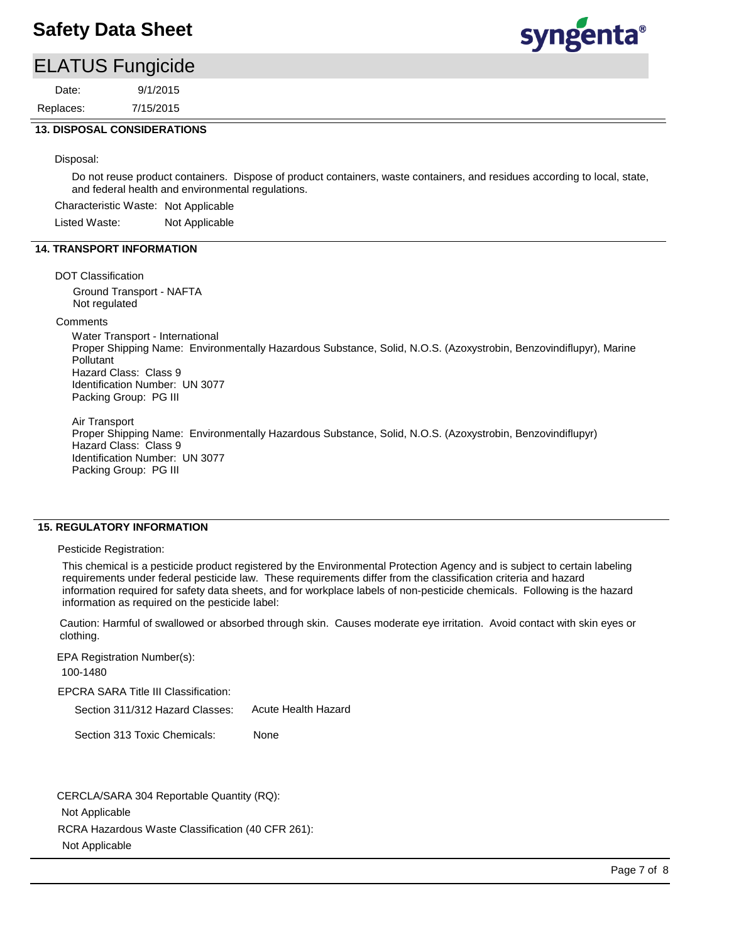### ELATUS Fungicide

7/15/2015 9/1/2015 Replaces: Date:



### **13. DISPOSAL CONSIDERATIONS**

Disposal:

Do not reuse product containers. Dispose of product containers, waste containers, and residues according to local, state, and federal health and environmental regulations.

Characteristic Waste: Not Applicable

Listed Waste: Not Applicable

### **14. TRANSPORT INFORMATION**

#### DOT Classification

Ground Transport - NAFTA Not regulated

#### **Comments**

Water Transport - International Proper Shipping Name: Environmentally Hazardous Substance, Solid, N.O.S. (Azoxystrobin, Benzovindiflupyr), Marine Pollutant Hazard Class: Class 9 Identification Number: UN 3077 Packing Group: PG III

Air Transport Proper Shipping Name: Environmentally Hazardous Substance, Solid, N.O.S. (Azoxystrobin, Benzovindiflupyr) Hazard Class: Class 9 Identification Number: UN 3077 Packing Group: PG III

### **15. REGULATORY INFORMATION**

Pesticide Registration:

This chemical is a pesticide product registered by the Environmental Protection Agency and is subject to certain labeling requirements under federal pesticide law. These requirements differ from the classification criteria and hazard information required for safety data sheets, and for workplace labels of non-pesticide chemicals. Following is the hazard information as required on the pesticide label:

Caution: Harmful of swallowed or absorbed through skin. Causes moderate eye irritation. Avoid contact with skin eyes or clothing.

EPCRA SARA Title III Classification: Section 311/312 Hazard Classes: Section 313 Toxic Chemicals: EPA Registration Number(s): 100-1480 None Acute Health Hazard

RCRA Hazardous Waste Classification (40 CFR 261): Not Applicable CERCLA/SARA 304 Reportable Quantity (RQ): Not Applicable